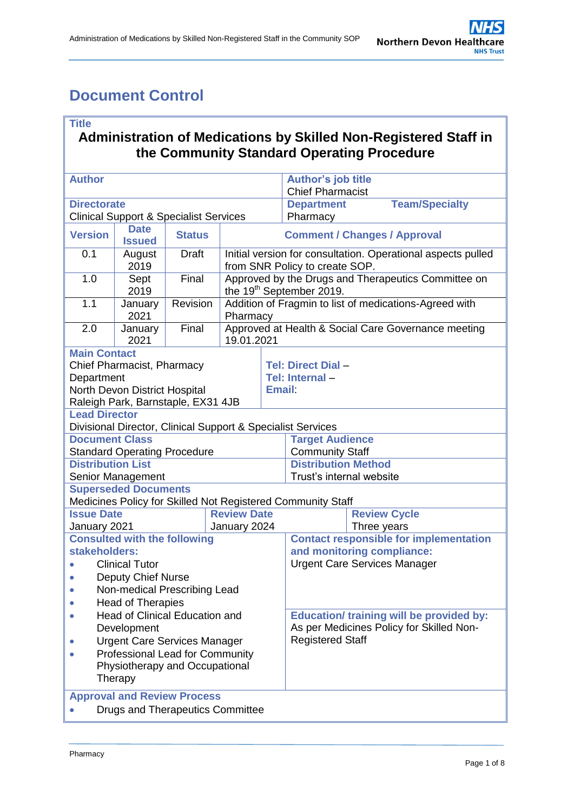# <span id="page-0-0"></span>**Document Control**

### **Title**

### **Administration of Medications by Skilled Non-Registered Staff in the Community Standard Operating Procedure**

| <b>Author</b>                                                                                                                          |                                                             |                              |                                                                                                | <b>Author's job title</b><br><b>Chief Pharmacist</b>                |                        |                       |                     |
|----------------------------------------------------------------------------------------------------------------------------------------|-------------------------------------------------------------|------------------------------|------------------------------------------------------------------------------------------------|---------------------------------------------------------------------|------------------------|-----------------------|---------------------|
| <b>Directorate</b>                                                                                                                     |                                                             |                              |                                                                                                | <b>Department</b>                                                   |                        | <b>Team/Specialty</b> |                     |
| <b>Clinical Support &amp; Specialist Services</b>                                                                                      |                                                             |                              |                                                                                                | Pharmacy                                                            |                        |                       |                     |
| <b>Version</b>                                                                                                                         | <b>Date</b><br><b>Issued</b>                                | <b>Status</b>                | <b>Comment / Changes / Approval</b>                                                            |                                                                     |                        |                       |                     |
| 0.1                                                                                                                                    | August<br>2019                                              | <b>Draft</b>                 | Initial version for consultation. Operational aspects pulled<br>from SNR Policy to create SOP. |                                                                     |                        |                       |                     |
| 1.0                                                                                                                                    | Sept<br>2019                                                | Final                        | Approved by the Drugs and Therapeutics Committee on<br>the 19 <sup>th</sup> September 2019.    |                                                                     |                        |                       |                     |
| 1.1                                                                                                                                    | January<br>2021                                             | Revision                     | Addition of Fragmin to list of medications-Agreed with<br>Pharmacy                             |                                                                     |                        |                       |                     |
| 2.0                                                                                                                                    | January<br>2021                                             | Final                        | Approved at Health & Social Care Governance meeting<br>19.01.2021                              |                                                                     |                        |                       |                     |
| <b>Main Contact</b><br>Chief Pharmacist, Pharmacy<br>Department<br>North Devon District Hospital<br>Raleigh Park, Barnstaple, EX31 4JB |                                                             |                              | <b>Email:</b>                                                                                  | Tel: Direct Dial -<br>Tel: Internal-                                |                        |                       |                     |
| <b>Lead Director</b><br>Divisional Director, Clinical Support & Specialist Services                                                    |                                                             |                              |                                                                                                |                                                                     |                        |                       |                     |
| <b>Document Class</b>                                                                                                                  |                                                             |                              |                                                                                                |                                                                     | <b>Target Audience</b> |                       |                     |
|                                                                                                                                        | <b>Standard Operating Procedure</b>                         |                              |                                                                                                |                                                                     | <b>Community Staff</b> |                       |                     |
| <b>Distribution List</b>                                                                                                               |                                                             |                              | <b>Distribution Method</b>                                                                     |                                                                     |                        |                       |                     |
| Senior Management                                                                                                                      |                                                             |                              | Trust's internal website                                                                       |                                                                     |                        |                       |                     |
|                                                                                                                                        | <b>Superseded Documents</b>                                 |                              |                                                                                                |                                                                     |                        |                       |                     |
|                                                                                                                                        | Medicines Policy for Skilled Not Registered Community Staff |                              |                                                                                                |                                                                     |                        |                       |                     |
| <b>Issue Date</b>                                                                                                                      |                                                             |                              | <b>Review Date</b>                                                                             |                                                                     |                        |                       | <b>Review Cycle</b> |
| January 2021                                                                                                                           |                                                             |                              | January 2024                                                                                   |                                                                     |                        | Three years           |                     |
| <b>Consulted with the following</b>                                                                                                    |                                                             |                              |                                                                                                | <b>Contact responsible for implementation</b>                       |                        |                       |                     |
| stakeholders:                                                                                                                          |                                                             |                              |                                                                                                | and monitoring compliance:                                          |                        |                       |                     |
| <b>Clinical Tutor</b>                                                                                                                  |                                                             |                              |                                                                                                | <b>Urgent Care Services Manager</b>                                 |                        |                       |                     |
| Deputy Chief Nurse                                                                                                                     |                                                             |                              |                                                                                                |                                                                     |                        |                       |                     |
|                                                                                                                                        |                                                             | Non-medical Prescribing Lead |                                                                                                |                                                                     |                        |                       |                     |
| <b>Head of Therapies</b>                                                                                                               |                                                             |                              |                                                                                                |                                                                     |                        |                       |                     |
| <b>Head of Clinical Education and</b>                                                                                                  |                                                             |                              |                                                                                                | <b>Education/ training will be provided by:</b>                     |                        |                       |                     |
| Development                                                                                                                            |                                                             |                              |                                                                                                | As per Medicines Policy for Skilled Non-<br><b>Registered Staff</b> |                        |                       |                     |
| <b>Urgent Care Services Manager</b>                                                                                                    |                                                             |                              |                                                                                                |                                                                     |                        |                       |                     |
| <b>Professional Lead for Community</b><br>Physiotherapy and Occupational<br>Therapy                                                    |                                                             |                              |                                                                                                |                                                                     |                        |                       |                     |
| <b>Approval and Review Process</b>                                                                                                     |                                                             |                              |                                                                                                |                                                                     |                        |                       |                     |
| <b>Drugs and Therapeutics Committee</b>                                                                                                |                                                             |                              |                                                                                                |                                                                     |                        |                       |                     |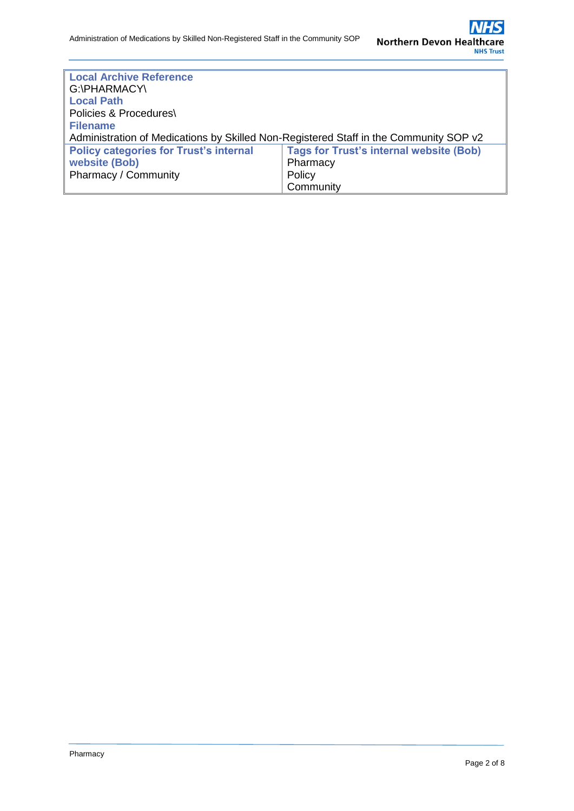| <b>Local Archive Reference</b><br>G:\PHARMACY\<br><b>Local Path</b>                             |           |  |  |  |
|-------------------------------------------------------------------------------------------------|-----------|--|--|--|
| Policies & Procedures\                                                                          |           |  |  |  |
| <b>Filename</b>                                                                                 |           |  |  |  |
| Administration of Medications by Skilled Non-Registered Staff in the Community SOP v2           |           |  |  |  |
| <b>Tags for Trust's internal website (Bob)</b><br><b>Policy categories for Trust's internal</b> |           |  |  |  |
| website (Bob)                                                                                   | Pharmacy  |  |  |  |
| Pharmacy / Community                                                                            | Policy    |  |  |  |
|                                                                                                 | Community |  |  |  |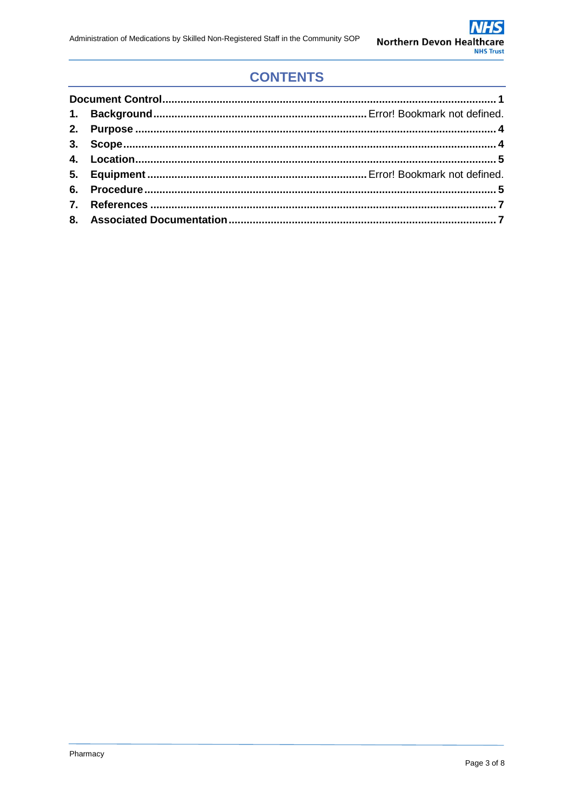## **CONTENTS**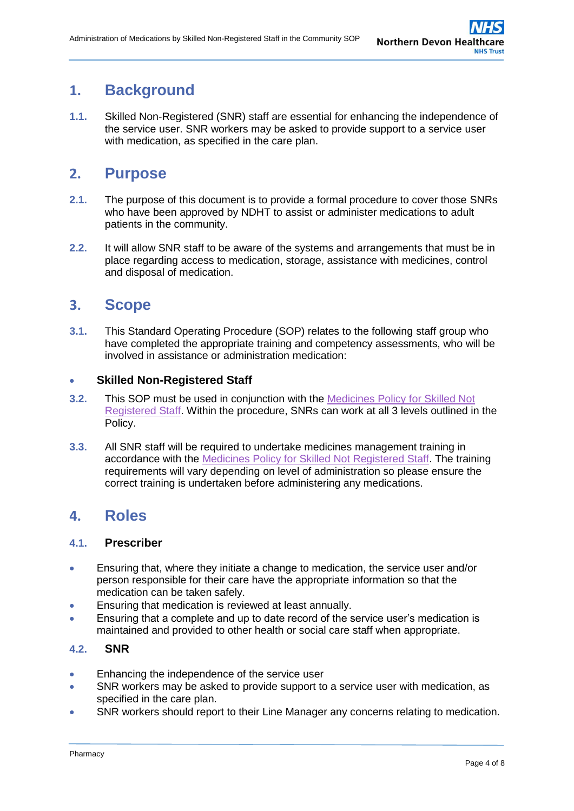## <span id="page-3-0"></span>**1. Background**

**1.1.** Skilled Non-Registered (SNR) staff are essential for enhancing the independence of the service user. SNR workers may be asked to provide support to a service user with medication, as specified in the care plan.

## **2. Purpose**

- <span id="page-3-1"></span>**2.1.** The purpose of this document is to provide a formal procedure to cover those SNRs who have been approved by NDHT to assist or administer medications to adult patients in the community.
- **2.2.** It will allow SNR staff to be aware of the systems and arrangements that must be in place regarding access to medication, storage, assistance with medicines, control and disposal of medication.

### **3. Scope**

**3.1.** This Standard Operating Procedure (SOP) relates to the following staff group who have completed the appropriate training and competency assessments, who will be involved in assistance or administration medication:

### **Skilled Non-Registered Staff**

- **3.2.** This SOP must be used in conjunction with the [Medicines Policy for Skilled Not](http://ndht.ndevon.swest.nhs.uk/medicines-policy-for-skilled-not-registered-snr-community-staff/)  [Registered Staff.](http://ndht.ndevon.swest.nhs.uk/medicines-policy-for-skilled-not-registered-snr-community-staff/) Within the procedure, SNRs can work at all 3 levels outlined in the Policy.
- **3.3.** All SNR staff will be required to undertake medicines management training in accordance with the [Medicines Policy for Skilled Not Registered Staff.](http://ndht.ndevon.swest.nhs.uk/medicines-policy-for-skilled-not-registered-snr-community-staff/) The training requirements will vary depending on level of administration so please ensure the correct training is undertaken before administering any medications.

### **4. Roles**

### **4.1. Prescriber**

- Ensuring that, where they initiate a change to medication, the service user and/or person responsible for their care have the appropriate information so that the medication can be taken safely.
- Ensuring that medication is reviewed at least annually.
- Ensuring that a complete and up to date record of the service user's medication is maintained and provided to other health or social care staff when appropriate.

#### **4.2. SNR**

- Enhancing the independence of the service user
- SNR workers may be asked to provide support to a service user with medication, as specified in the care plan.
- SNR workers should report to their Line Manager any concerns relating to medication.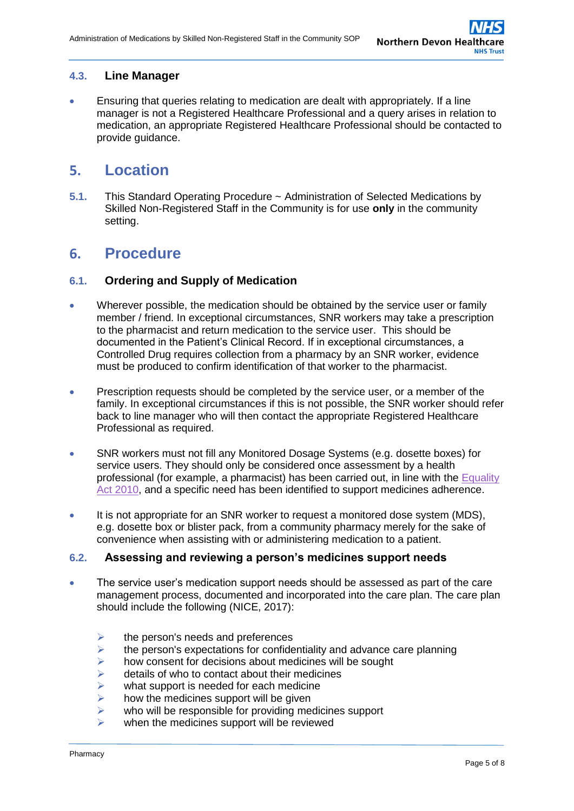### **4.3. Line Manager**

 Ensuring that queries relating to medication are dealt with appropriately. If a line manager is not a Registered Healthcare Professional and a query arises in relation to medication, an appropriate Registered Healthcare Professional should be contacted to provide guidance.

### <span id="page-4-0"></span>**5. Location**

**5.1.** This Standard Operating Procedure ~ Administration of Selected Medications by Skilled Non-Registered Staff in the Community is for use **only** in the community setting.

### <span id="page-4-1"></span>**6. Procedure**

#### **6.1. Ordering and Supply of Medication**

- Wherever possible, the medication should be obtained by the service user or family member / friend. In exceptional circumstances, SNR workers may take a prescription to the pharmacist and return medication to the service user. This should be documented in the Patient's Clinical Record. If in exceptional circumstances, a Controlled Drug requires collection from a pharmacy by an SNR worker, evidence must be produced to confirm identification of that worker to the pharmacist.
- Prescription requests should be completed by the service user, or a member of the family. In exceptional circumstances if this is not possible, the SNR worker should refer back to line manager who will then contact the appropriate Registered Healthcare Professional as required.
- SNR workers must not fill any Monitored Dosage Systems (e.g. dosette boxes) for service users. They should only be considered once assessment by a health professional (for example, a pharmacist) has been carried out, in line with the [Equality](https://www.legislation.gov.uk/ukpga/2010/15/contents)  [Act 2010,](https://www.legislation.gov.uk/ukpga/2010/15/contents) and a specific need has been identified to support medicines adherence.
- It is not appropriate for an SNR worker to request a monitored dose system (MDS), e.g. dosette box or blister pack, from a community pharmacy merely for the sake of convenience when assisting with or administering medication to a patient.

#### **6.2. Assessing and reviewing a person's medicines support needs**

- The service user's medication support needs should be assessed as part of the care management process, documented and incorporated into the care plan. The care plan should include the following (NICE, 2017):
	- $\ge$  the person's needs and preferences<br> $\ge$  the person's expectations for confide
	- $\ge$  the person's expectations for confidentiality and advance care planning<br> $\ge$  how consent for decisions about medicines will be sought
	- how consent for decisions about medicines will be sought
	- $\ge$  details of who to contact about their medicines<br>  $\ge$  what support is needed for each medicine
	- $\geq$  what support is needed for each medicine<br> $\geq$  how the medicines support will be given
	- how the medicines support will be given
	- $\triangleright$  who will be responsible for providing medicines support
	- $\triangleright$  when the medicines support will be reviewed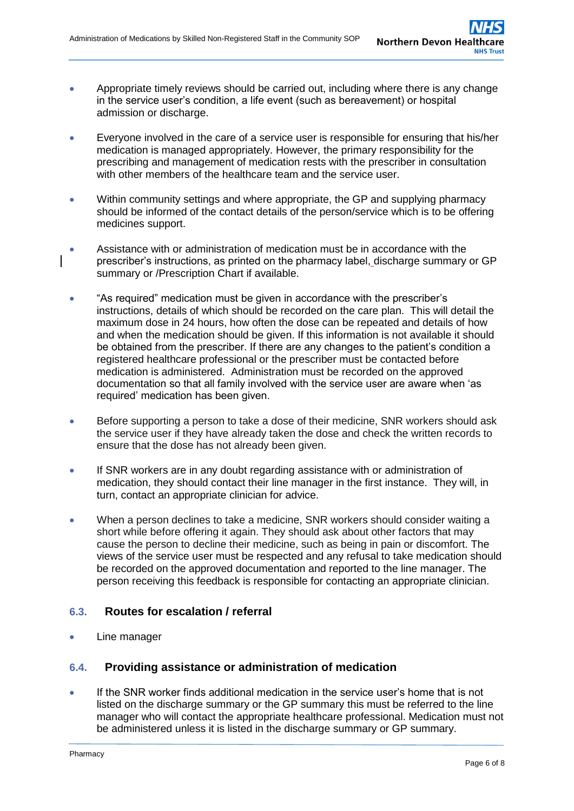- Appropriate timely reviews should be carried out, including where there is any change in the service user's condition, a life event (such as bereavement) or hospital admission or discharge.
- Everyone involved in the care of a service user is responsible for ensuring that his/her medication is managed appropriately. However, the primary responsibility for the prescribing and management of medication rests with the prescriber in consultation with other members of the healthcare team and the service user.
- Within community settings and where appropriate, the GP and supplying pharmacy should be informed of the contact details of the person/service which is to be offering medicines support.
- Assistance with or administration of medication must be in accordance with the prescriber's instructions, as printed on the pharmacy label, discharge summary or GP summary or /Prescription Chart if available.
- "As required" medication must be given in accordance with the prescriber's instructions, details of which should be recorded on the care plan. This will detail the maximum dose in 24 hours, how often the dose can be repeated and details of how and when the medication should be given. If this information is not available it should be obtained from the prescriber. If there are any changes to the patient's condition a registered healthcare professional or the prescriber must be contacted before medication is administered. Administration must be recorded on the approved documentation so that all family involved with the service user are aware when 'as required' medication has been given.
- Before supporting a person to take a dose of their medicine, SNR workers should ask the service user if they have already taken the dose and check the written records to ensure that the dose has not already been given.
- If SNR workers are in any doubt regarding assistance with or administration of medication, they should contact their line manager in the first instance. They will, in turn, contact an appropriate clinician for advice.
- When a person declines to take a medicine, SNR workers should consider waiting a short while before offering it again. They should ask about other factors that may cause the person to decline their medicine, such as being in pain or discomfort. The views of the service user must be respected and any refusal to take medication should be recorded on the approved documentation and reported to the line manager. The person receiving this feedback is responsible for contacting an appropriate clinician.

### **6.3. Routes for escalation / referral**

Line manager

### **6.4. Providing assistance or administration of medication**

 If the SNR worker finds additional medication in the service user's home that is not listed on the discharge summary or the GP summary this must be referred to the line manager who will contact the appropriate healthcare professional. Medication must not be administered unless it is listed in the discharge summary or GP summary.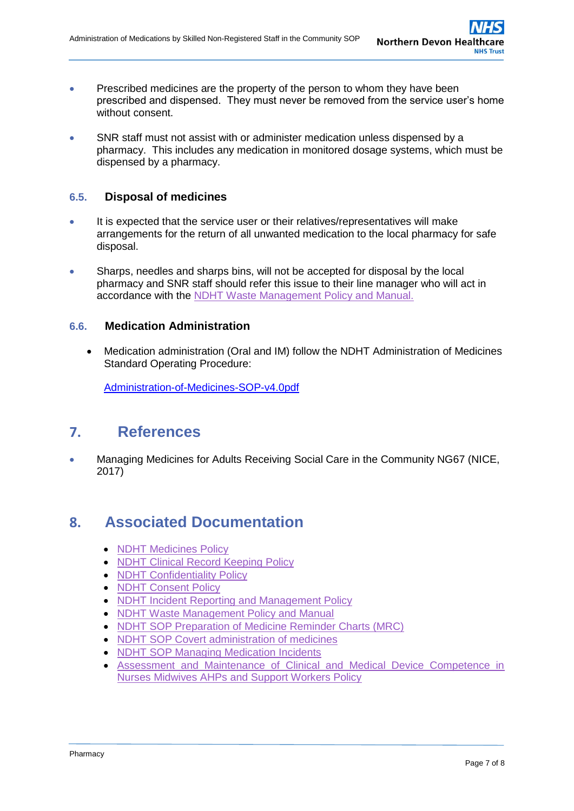- **•** Prescribed medicines are the property of the person to whom they have been prescribed and dispensed. They must never be removed from the service user's home without consent.
- SNR staff must not assist with or administer medication unless dispensed by a pharmacy. This includes any medication in monitored dosage systems, which must be dispensed by a pharmacy.

### **6.5. Disposal of medicines**

- It is expected that the service user or their relatives/representatives will make arrangements for the return of all unwanted medication to the local pharmacy for safe disposal.
- Sharps, needles and sharps bins, will not be accepted for disposal by the local pharmacy and SNR staff should refer this issue to their line manager who will act in accordance with the [NDHT Waste Management Policy and Manual.](http://ndht.ndevon.swest.nhs.uk/waste-policy/)

### **6.6. Medication Administration**

 Medication administration (Oral and IM) follow the NDHT Administration of Medicines Standard Operating Procedure:

<span id="page-6-0"></span>Administration-of-Medicines-SOP-v4.0pdf

### **7. References**

 Managing Medicines for Adults Receiving Social Care in the Community NG67 (NICE, 2017)

### <span id="page-6-1"></span>**8. Associated Documentation**

- [NDHT Medicines Policy](http://www.northdevonhealth.nhs.uk/2012/04/medicines-policy/)
- [NDHT Clinical Record Keeping Policy](http://www.northdevonhealth.nhs.uk/2012/04/clinical-record-keeping-policy/)
- [NDHT Confidentiality Policy](http://www.northdevonhealth.nhs.uk/2016/02/confidentiality-policy/)
- [NDHT Consent Policy](http://www.northdevonhealth.nhs.uk/2012/04/consent-policy/)
- [NDHT Incident Reporting and Management Policy](http://www.northdevonhealth.nhs.uk/2017/11/incident-reporting-and-management-policy/)
- [NDHT Waste Management Policy and Manual](http://ndht.ndevon.swest.nhs.uk/waste-policy/)
- [NDHT SOP Preparation of Medicine Reminder Charts \(MRC\)](http://ndht.ndevon.swest.nhs.uk/preparation-of-medicine-reminder-charts-mrc-standard-operating-procedure/)
- [NDHT SOP Covert administration of medicines](http://ndht.ndevon.swest.nhs.uk/covert-administration-of-medicines-standard-operating-procedure/)
- [NDHT SOP Managing Medication Incidents](http://ndht.ndevon.swest.nhs.uk/medication-errors-standard-operating-procedure-managing-and-supporting-staff-following-a-medication-error/)
- [Assessment and Maintenance of Clinical and Medical Device Competence in](http://ndht.ndevon.swest.nhs.uk/wp-content/uploads/2011/02/Assessment-and-Maintenance-of-Clinical-and-Medical-Device-Competence-in-Nurses-Midwives-AHPs-and-Support-Workers-Policy-v8-0.pdf)  [Nurses Midwives AHPs and Support Workers Policy](http://ndht.ndevon.swest.nhs.uk/wp-content/uploads/2011/02/Assessment-and-Maintenance-of-Clinical-and-Medical-Device-Competence-in-Nurses-Midwives-AHPs-and-Support-Workers-Policy-v8-0.pdf)